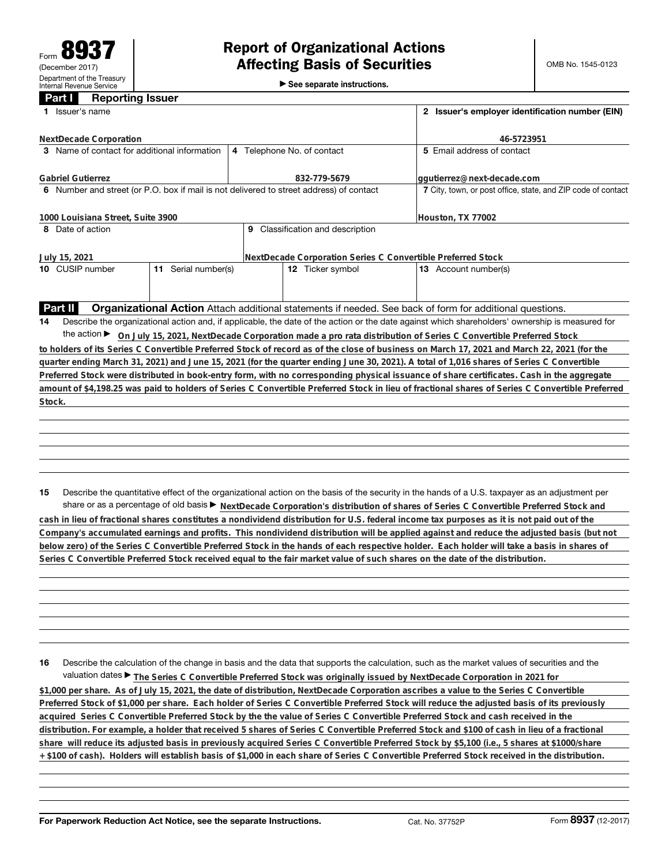►<br>► See separate instructions.

## **Part I Reporting Issuer**

|                                                                                                                                                   | Issuer's name                 |                                                                                                                                                 | 2 Issuer's employer identification number (EIN) |                                  |                                                                                                                                                 |  |  |
|---------------------------------------------------------------------------------------------------------------------------------------------------|-------------------------------|-------------------------------------------------------------------------------------------------------------------------------------------------|-------------------------------------------------|----------------------------------|-------------------------------------------------------------------------------------------------------------------------------------------------|--|--|
|                                                                                                                                                   | <b>NextDecade Corporation</b> |                                                                                                                                                 | 46-5723951                                      |                                  |                                                                                                                                                 |  |  |
| 3 Name of contact for additional information                                                                                                      |                               |                                                                                                                                                 |                                                 | 4 Telephone No. of contact       | 5 Email address of contact                                                                                                                      |  |  |
| <b>Gabriel Gutierrez</b>                                                                                                                          |                               |                                                                                                                                                 |                                                 | 832-779-5679                     | ggutierrez@next-decade.com                                                                                                                      |  |  |
| 6 Number and street (or P.O. box if mail is not delivered to street address) of contact                                                           |                               |                                                                                                                                                 |                                                 |                                  | 7 City, town, or post office, state, and ZIP code of contact                                                                                    |  |  |
| 1000 Louisiana Street, Suite 3900                                                                                                                 |                               |                                                                                                                                                 |                                                 |                                  | Houston, TX 77002                                                                                                                               |  |  |
| 8 Date of action                                                                                                                                  |                               |                                                                                                                                                 |                                                 | 9 Classification and description |                                                                                                                                                 |  |  |
| NextDecade Corporation Series C Convertible Preferred Stock<br>July 15, 2021                                                                      |                               |                                                                                                                                                 |                                                 |                                  |                                                                                                                                                 |  |  |
|                                                                                                                                                   | 10 CUSIP number               | 11 Serial number(s)                                                                                                                             |                                                 | 12 Ticker symbol                 | <b>13</b> Account number(s)                                                                                                                     |  |  |
|                                                                                                                                                   |                               |                                                                                                                                                 |                                                 |                                  |                                                                                                                                                 |  |  |
|                                                                                                                                                   | Part II                       |                                                                                                                                                 |                                                 |                                  | <b>Organizational Action</b> Attach additional statements if needed. See back of form for additional questions.                                 |  |  |
| 14                                                                                                                                                |                               | Describe the organizational action and, if applicable, the date of the action or the date against which shareholders' ownership is measured for |                                                 |                                  |                                                                                                                                                 |  |  |
| the action $\blacktriangleright$<br>On July 15, 2021, NextDecade Corporation made a pro rata distribution of Series C Convertible Preferred Stock |                               |                                                                                                                                                 |                                                 |                                  |                                                                                                                                                 |  |  |
|                                                                                                                                                   |                               |                                                                                                                                                 |                                                 |                                  | to holders of its Series C Convertible Preferred Stock of record as of the close of business on March 17, 2021 and March 22, 2021 (for the      |  |  |
|                                                                                                                                                   |                               |                                                                                                                                                 |                                                 |                                  | quarter ending March 31, 2021) and June 15, 2021 (for the quarter ending June 30, 2021). A total of 1,016 shares of Series C Convertible        |  |  |
|                                                                                                                                                   |                               |                                                                                                                                                 |                                                 |                                  | Preferred Stock were distributed in book-entry form, with no corresponding physical issuance of share certificates. Cash in the aggregate       |  |  |
|                                                                                                                                                   |                               |                                                                                                                                                 |                                                 |                                  | amount of \$4,198.25 was paid to holders of Series C Convertible Preferred Stock in lieu of fractional shares of Series C Convertible Preferred |  |  |
|                                                                                                                                                   | Stock.                        |                                                                                                                                                 |                                                 |                                  |                                                                                                                                                 |  |  |
|                                                                                                                                                   |                               |                                                                                                                                                 |                                                 |                                  |                                                                                                                                                 |  |  |
|                                                                                                                                                   |                               |                                                                                                                                                 |                                                 |                                  |                                                                                                                                                 |  |  |
|                                                                                                                                                   |                               |                                                                                                                                                 |                                                 |                                  |                                                                                                                                                 |  |  |

**15** Describe the quantitative effect of the organizational action on the basis of the security in the hands of a U.S. taxpayer as an adjustment per share or as a percentage of old basis  $\blacktriangleright$  NextDecade Corporation's distribution of shares of Series C Convertible Preferred Stock and

**cash in lieu of fractional shares constitutes a nondividend distribution for U.S. federal income tax purposes as it is not paid out of the Company's accumulated earnings and profits. This nondividend distribution will be applied against and reduce the adjusted basis (but not below zero) of the Series C Convertible Preferred Stock in the hands of each respective holder. Each holder will take a basis in shares of Series C Convertible Preferred Stock received equal to the fair market value of such shares on the date of the distribution.**

**16** Describe the calculation of the change in basis and the data that supports the calculation, such as the market values of securities and the valuation dates ▶ The Series C Convertible Preferred Stock was originally issued by NextDecade Corporation in 2021 for

**\$1,000 per share. As of July 15, 2021, the date of distribution, NextDecade Corporation ascribes a value to the Series C Convertible Preferred Stock of \$1,000 per share. Each holder of Series C Convertible Preferred Stock will reduce the adjusted basis of its previously acquired Series C Convertible Preferred Stock by the the value of Series C Convertible Preferred Stock and cash received in the distribution. For example, a holder that received 5 shares of Series C Convertible Preferred Stock and \$100 of cash in lieu of a fractional share will reduce its adjusted basis in previously acquired Series C Convertible Preferred Stock by \$5,100 (i.e., 5 shares at \$1000/share + \$100 of cash). Holders will establish basis of \$1,000 in each share of Series C Convertible Preferred Stock received in the distribution.**